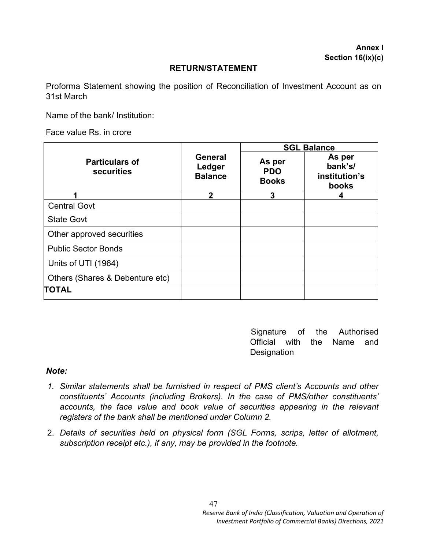#### **RETURN/STATEMENT**

Proforma Statement showing the position of Reconciliation of Investment Account as on 31st March

Name of the bank/ Institution:

Face value Rs. in crore

|                                     |                                            | <b>SGL Balance</b>                   |                                             |
|-------------------------------------|--------------------------------------------|--------------------------------------|---------------------------------------------|
| <b>Particulars of</b><br>securities | <b>General</b><br>Ledger<br><b>Balance</b> | As per<br><b>PDO</b><br><b>Books</b> | As per<br>bank's/<br>institution's<br>books |
| 1                                   | $\mathbf 2$                                | 3                                    | 4                                           |
| <b>Central Govt</b>                 |                                            |                                      |                                             |
| <b>State Govt</b>                   |                                            |                                      |                                             |
| Other approved securities           |                                            |                                      |                                             |
| <b>Public Sector Bonds</b>          |                                            |                                      |                                             |
| Units of UTI (1964)                 |                                            |                                      |                                             |
| Others (Shares & Debenture etc)     |                                            |                                      |                                             |
| TOTAL                               |                                            |                                      |                                             |

Signature of the Authorised Official with the Name and **Designation** 

#### *Note:*

- *1. Similar statements shall be furnished in respect of PMS client's Accounts and other constituents' Accounts (including Brokers). In the case of PMS/other constituents' accounts, the face value and book value of securities appearing in the relevant registers of the bank shall be mentioned under Column 2.*
- 2. *Details of securities held on physical form (SGL Forms, scrips, letter of allotment, subscription receipt etc.), if any, may be provided in the footnote.*